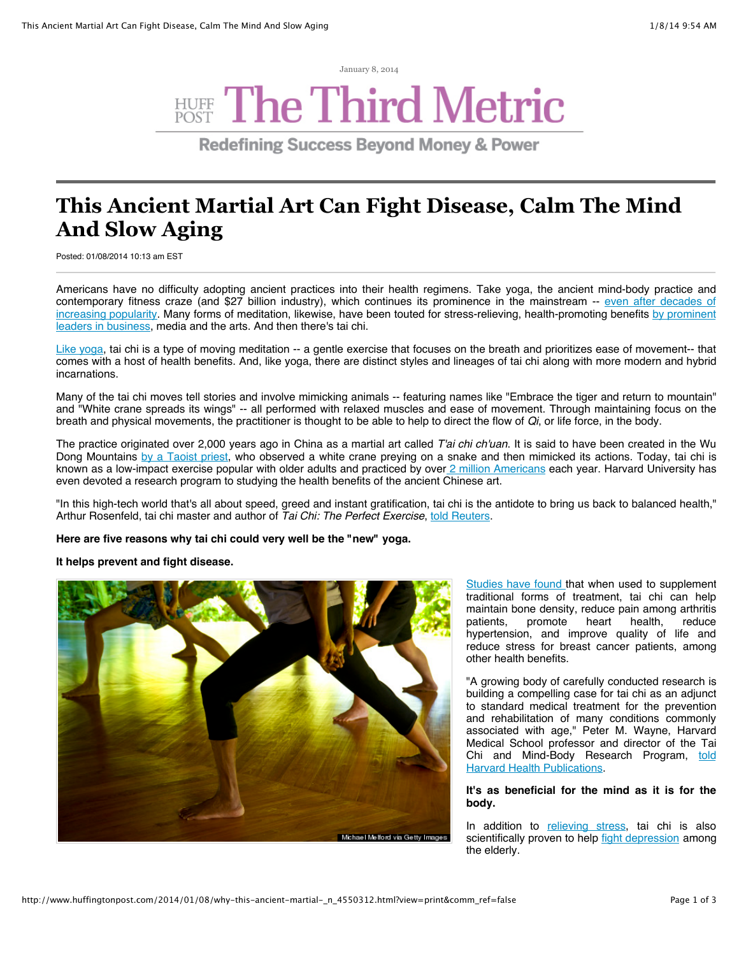January 8, 2014



**Redefining Success Beyond Money & Power** 

# **This Ancient Martial Art Can Fight Disease, Calm The Mind And Slow Aging**

Posted: 01/08/2014 10:13 am EST

Americans have no difficulty adopting ancient practices into their health regimens. Take yoga, the ancient mind-body practice and contemporary fitness craze (and \$27 billion industry), which continues its prominence in the mainstream -- even after decades of [increasing popularity. Many forms of meditation, likewise, have been touted for stress-relieving, health-promoting benefits by prominent](http://www.yogajournal.com/press/yoga_in_america) leaders in business, media and the arts. And then there's tai chi.

[Like yoga,](http://www.huffingtonpost.com/2013/10/28/body-on-yoga_n_4109595.html) tai chi is a type of moving meditation -- a gentle exercise that focuses on the breath and prioritizes ease of movement-- that comes with a host of health benefits. And, like yoga, there are distinct styles and lineages of tai chi along with more modern and hybrid incarnations.

Many of the tai chi moves tell stories and involve mimicking animals -- featuring names like "Embrace the tiger and return to mountain" and "White crane spreads its wings" -- all performed with relaxed muscles and ease of movement. Through maintaining focus on the breath and physical movements, the practitioner is thought to be able to help to direct the flow of *Qi*, or life force, in the body.

The practice originated over 2,000 years ago in China as a martial art called *T'ai chi ch'uan*. It is said to have been created in the Wu Dong Mountains [by a Taoist priest,](http://www.stanford.edu/group/taichi_wushu/taichi.history.html) who observed a white crane preying on a snake and then mimicked its actions. Today, tai chi is known as a low-impact exercise popular with older adults and practiced by over [2 million Americans](http://www.huffingtonpost.com/2013/06/17/tai-chi-fitness-chinese-exercise-age-health_n_3452006.html) each year. Harvard University has even devoted a research program to studying the health benefits of the ancient Chinese art.

"In this high-tech world that's all about speed, greed and instant gratification, tai chi is the antidote to bring us back to balanced health," Arthur Rosenfeld, tai chi master and author of *Tai Chi: The Perfect Exercise*, [told Reuters](http://www.huffingtonpost.com/2013/06/17/tai-chi-fitness-chinese-exercise-age-health_n_3452006.html).

**Here are five reasons why tai chi could very well be the "new" yoga.**

**It helps prevent and fight disease.**



[Studies have found t](http://www.health.harvard.edu/press_releases/Tai-chi-eases-several-medical-conditions)hat when used to supplement traditional forms of treatment, tai chi can help maintain bone density, reduce pain among arthritis<br>patients, promote heart health, reduce patients, promote heart health, reduce hypertension, and improve quality of life and reduce stress for breast cancer patients, among other health benefits.

"A growing body of carefully conducted research is building a compelling case for tai chi as an adjunct to standard medical treatment for the prevention and rehabilitation of many conditions commonly associated with age," Peter M. Wayne, Harvard Medical School professor and director of the Tai [Chi and Mind-Body Research Program, told](http://www.health.harvard.edu/newsletters/Harvard_Womens_Health_Watch/2009/May/The-health-benefits-of-tai-chi) Harvard Health Publications.

## **It's as beneficial for the mind as it is for the body.**

In addition to [relieving stress,](http://www-cgi.cnn.com/HEALTH/library/SA/00087.html) tai chi is also scientifically proven to help [fight depression](http://healthland.time.com/2011/03/18/good-news-tai-chi-helps-fight-depression-among-the-elderly/) among the elderly.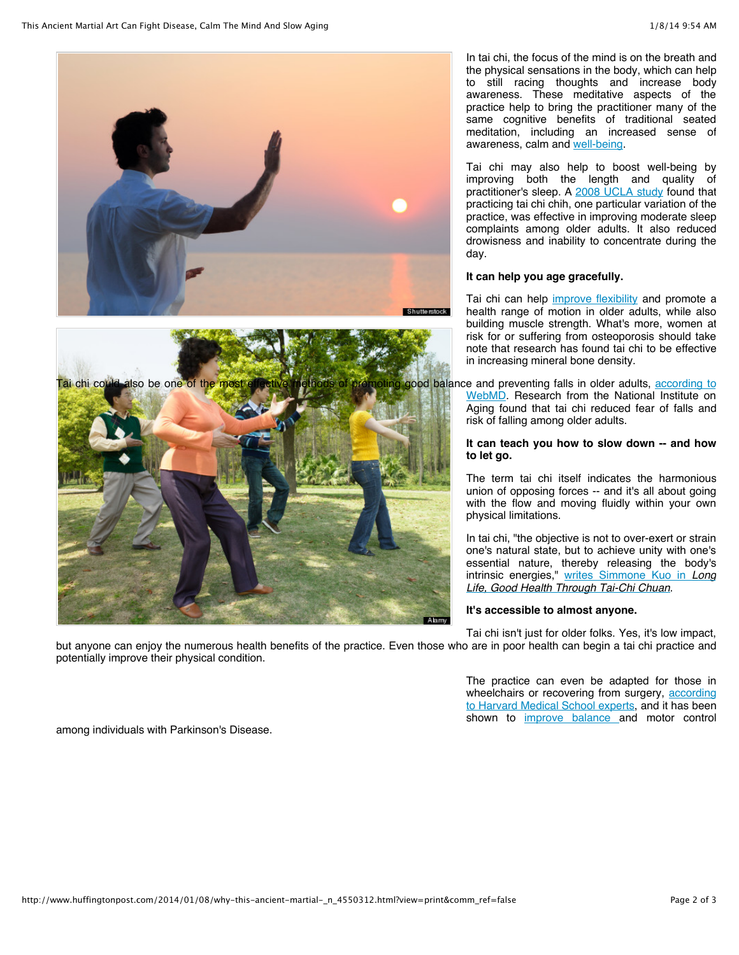

In tai chi, the focus of the mind is on the breath and the physical sensations in the body, which can help to still racing thoughts and increase body awareness. These meditative aspects of the practice help to bring the practitioner many of the same cognitive benefits of traditional seated meditation, including an increased sense of awareness, calm and [well-being](http://www.webmd.com/balance/guide/health-benefits-tai-chi-qigong).

Tai chi may also help to boost well-being by improving both the length and quality of practitioner's sleep. A [2008 UCLA study](http://newsroom.ucla.edu/portal/ucla/elderly-s-restless-nights-helped-52220.aspx) found that practicing tai chi chih, one particular variation of the practice, was effective in improving moderate sleep complaints among older adults. It also reduced drowisness and inability to concentrate during the day.

#### **It can help you age gracefully.**

Tai chi can help *improve flexibility* and promote a health range of motion in older adults, while also building muscle strength. What's more, women at risk for or suffering from osteoporosis should take note that research has found tai chi to be effective in increasing mineral bone density.

WebMD. Research from the National Institute on Aging found that tai chi reduced fear of falls and risk of falling among older adults.

### **It can teach you how to slow down -- and how to let go.**

The term tai chi itself indicates the harmonious union of opposing forces -- and it's all about going with the flow and moving fluidly within your own physical limitations.

In tai chi, "the objective is not to over-exert or strain one's natural state, but to achieve unity with one's essential nature, thereby releasing the body's [intrinsic energies," writes Simmone Kuo in](http://books.google.com/books?id=WGoBE3J4-H4C&pg=PA8&dq=tai+chi+philosophy&hl=en&sa=X&ei=rm_MUpqzKsrMsQSegYGgDw&ved=0CEQQ6AEwBA#v=onepage&q=tai%20chi%20philosophy&f=false) *Long Life, Good Health Through Tai-Chi Chuan*.

## **It's accessible to almost anyone.**

Tai chi isn't just for older folks. Yes, it's low impact, but anyone can enjoy the numerous health benefits of the practice. Even those who are in poor health can begin a tai chi practice and potentially improve their physical condition.

> The practice can even be adapted for those in [wheelchairs or recovering from surgery, according](http://www.health.harvard.edu/newsletters/Harvard_Womens_Health_Watch/2009/May/The-health-benefits-of-tai-chi) to Harvard Medical School experts, and it has been shown to [improve balance a](http://www.health.harvard.edu/blog/tai-chi-improves-balance-and-motor-control-in-parkinsons-disease-201305036150)nd motor control

among individuals with Parkinson's Disease.